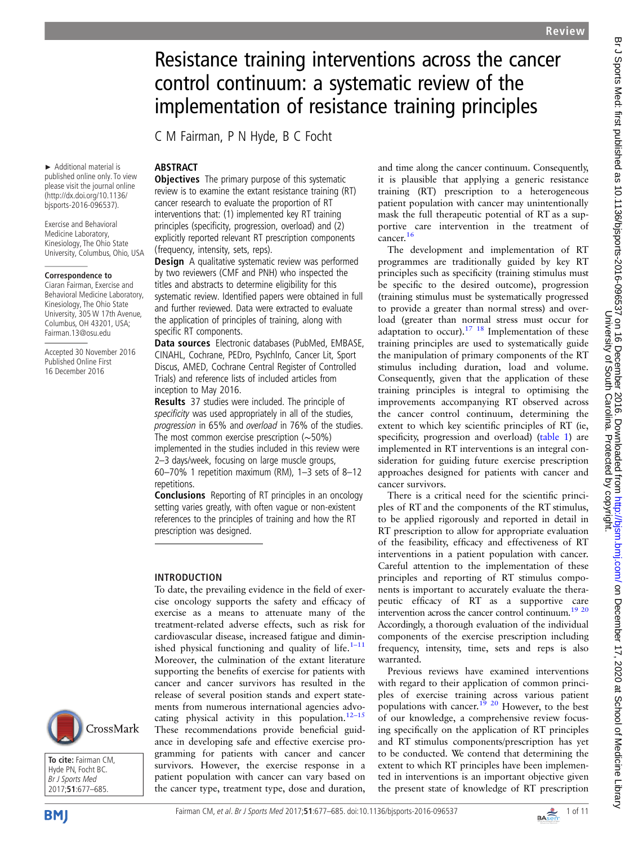# Resistance training interventions across the cancer control continuum: a systematic review of the implementation of resistance training principles

C M Fairman, P N Hyde, B C Focht

► Additional material is published online only. To view please visit the journal online (http://dx.doi.org/10.1136/ bjsports-2016-096537).

Exercise and Behavioral Medicine Laboratory, Kinesiology, The Ohio State University, Columbus, Ohio, USA

#### **Correspondence to**

Ciaran Fairman, Exercise and Behavioral Medicine Laboratory, Kinesiology, The Ohio State University, 305 W 17th Avenue, Columbus, OH 43201, USA; Fairman.13@osu.edu

Accepted 30 November 2016 Published Online First 16 December 2016

## **ARSTRACT**

**Objectives** The primary purpose of this systematic review is to examine the extant resistance training (RT) cancer research to evaluate the proportion of RT interventions that: (1) implemented key RT training principles (specificity, progression, overload) and (2) explicitly reported relevant RT prescription components (frequency, intensity, sets, reps).

**Design** A qualitative systematic review was performed by two reviewers (CMF and PNH) who inspected the titles and abstracts to determine eligibility for this systematic review. Identified papers were obtained in full and further reviewed. Data were extracted to evaluate the application of principles of training, along with specific RT components.

Data sources Electronic databases (PubMed, EMBASE, CINAHL, Cochrane, PEDro, PsychInfo, Cancer Lit, Sport Discus, AMED, Cochrane Central Register of Controlled Trials) and reference lists of included articles from inception to May 2016.

Results 37 studies were included. The principle of specificity was used appropriately in all of the studies, progression in 65% and overload in 76% of the studies. The most common exercise prescription (∼50%) implemented in the studies included in this review were 2–3 days/week, focusing on large muscle groups, 60–70% 1 repetition maximum (RM), 1–3 sets of 8–12 repetitions.

Conclusions Reporting of RT principles in an oncology setting varies greatly, with often vague or non-existent references to the principles of training and how the RT prescription was designed.

#### INTRODUCTION

To date, the prevailing evidence in the field of exercise oncology supports the safety and efficacy of exercise as a means to attenuate many of the treatment-related adverse effects, such as risk for cardiovascular disease, increased fatigue and diminished physical functioning and quality of life. $1-11$  $1-11$ Moreover, the culmination of the extant literature supporting the benefits of exercise for patients with cancer and cancer survivors has resulted in the release of several position stands and expert statements from numerous international agencies advo-cating physical activity in this population.<sup>[12](#page-8-0)–15</sup> These recommendations provide beneficial guidance in developing safe and effective exercise programming for patients with cancer and cancer survivors. However, the exercise response in a patient population with cancer can vary based on the cancer type, treatment type, dose and duration,

and time along the cancer continuum. Consequently, it is plausible that applying a generic resistance training (RT) prescription to a heterogeneous patient population with cancer may unintentionally mask the full therapeutic potential of RT as a supportive care intervention in the treatment of cancer.[16](#page-8-0)

The development and implementation of RT programmes are traditionally guided by key RT principles such as specificity (training stimulus must be specific to the desired outcome), progression (training stimulus must be systematically progressed to provide a greater than normal stress) and overload (greater than normal stress must occur for adaptation to occur).<sup>[17 18](#page-9-0)</sup> Implementation of these training principles are used to systematically guide the manipulation of primary components of the RT stimulus including duration, load and volume. Consequently, given that the application of these training principles is integral to optimising the improvements accompanying RT observed across the cancer control continuum, determining the extent to which key scientific principles of RT (ie, specificity, progression and overload) [\(table 1\)](#page-1-0) are implemented in RT interventions is an integral consideration for guiding future exercise prescription approaches designed for patients with cancer and cancer survivors.

There is a critical need for the scientific principles of RT and the components of the RT stimulus, to be applied rigorously and reported in detail in RT prescription to allow for appropriate evaluation of the feasibility, efficacy and effectiveness of RT interventions in a patient population with cancer. Careful attention to the implementation of these principles and reporting of RT stimulus components is important to accurately evaluate the therapeutic efficacy of RT as a supportive care intervention across the cancer control continuum.<sup>19 20</sup> Accordingly, a thorough evaluation of the individual components of the exercise prescription including frequency, intensity, time, sets and reps is also warranted.

Previous reviews have examined interventions with regard to their application of common principles of exercise training across various patient populations with cancer.<sup>19</sup> <sup>20</sup> However, to the best of our knowledge, a comprehensive review focusing specifically on the application of RT principles and RT stimulus components/prescription has yet to be conducted. We contend that determining the extent to which RT principles have been implemented in interventions is an important objective given the present state of knowledge of RT prescription



**To cite:** Fairman CM, Hyde PN, Focht BC. Br J Sports Med 2017;**51**:677–685.



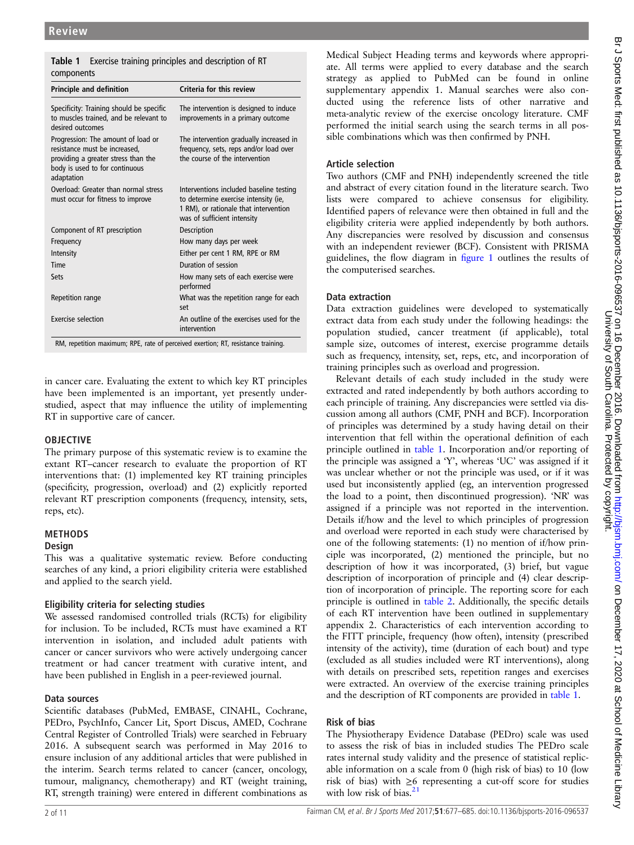<span id="page-1-0"></span>

| <b>Principle and definition</b>                                                                                                                            | Criteria for this review                                                                                                                                |
|------------------------------------------------------------------------------------------------------------------------------------------------------------|---------------------------------------------------------------------------------------------------------------------------------------------------------|
| Specificity: Training should be specific<br>to muscles trained, and be relevant to<br>desired outcomes                                                     | The intervention is designed to induce<br>improvements in a primary outcome                                                                             |
| Progression: The amount of load or<br>resistance must be increased,<br>providing a greater stress than the<br>body is used to for continuous<br>adaptation | The intervention gradually increased in<br>frequency, sets, reps and/or load over<br>the course of the intervention                                     |
| Overload: Greater than normal stress<br>must occur for fitness to improve                                                                                  | Interventions included baseline testing<br>to determine exercise intensity (ie,<br>1 RM), or rationale that intervention<br>was of sufficient intensity |
| Component of RT prescription                                                                                                                               | Description                                                                                                                                             |
| Frequency                                                                                                                                                  | How many days per week                                                                                                                                  |
| Intensity                                                                                                                                                  | Either per cent 1 RM, RPE or RM                                                                                                                         |
| Time                                                                                                                                                       | Duration of session                                                                                                                                     |
| Sets                                                                                                                                                       | How many sets of each exercise were<br>performed                                                                                                        |
| Repetition range                                                                                                                                           | What was the repetition range for each<br>set                                                                                                           |
| <b>Exercise selection</b>                                                                                                                                  | An outline of the exercises used for the<br>intervention                                                                                                |

in cancer care. Evaluating the extent to which key RT principles have been implemented is an important, yet presently understudied, aspect that may influence the utility of implementing RT in supportive care of cancer.

#### OBJECTIVE

The primary purpose of this systematic review is to examine the extant RT–cancer research to evaluate the proportion of RT interventions that: (1) implemented key RT training principles (specificity, progression, overload) and (2) explicitly reported relevant RT prescription components (frequency, intensity, sets, reps, etc).

#### METHODS

#### Design

This was a qualitative systematic review. Before conducting searches of any kind, a priori eligibility criteria were established and applied to the search yield.

#### Eligibility criteria for selecting studies

We assessed randomised controlled trials (RCTs) for eligibility for inclusion. To be included, RCTs must have examined a RT intervention in isolation, and included adult patients with cancer or cancer survivors who were actively undergoing cancer treatment or had cancer treatment with curative intent, and have been published in English in a peer-reviewed journal.

#### Data sources

Scientific databases (PubMed, EMBASE, CINAHL, Cochrane, PEDro, PsychInfo, Cancer Lit, Sport Discus, AMED, Cochrane Central Register of Controlled Trials) were searched in February 2016. A subsequent search was performed in May 2016 to ensure inclusion of any additional articles that were published in the interim. Search terms related to cancer (cancer, oncology, tumour, malignancy, chemotherapy) and RT (weight training, RT, strength training) were entered in different combinations as

Medical Subject Heading terms and keywords where appropriate. All terms were applied to every database and the search strategy as applied to PubMed can be found in online [supplementary appendix 1.](http://dx.doi.org/10.1136/bjsports-2016-096537) Manual searches were also conducted using the reference lists of other narrative and meta-analytic review of the exercise oncology literature. CMF performed the initial search using the search terms in all possible combinations which was then confirmed by PNH.

#### Article selection

Two authors (CMF and PNH) independently screened the title and abstract of every citation found in the literature search. Two lists were compared to achieve consensus for eligibility. Identified papers of relevance were then obtained in full and the eligibility criteria were applied independently by both authors. Any discrepancies were resolved by discussion and consensus with an independent reviewer (BCF). Consistent with PRISMA guidelines, the flow diagram in fi[gure 1](#page-2-0) outlines the results of the computerised searches.

#### Data extraction

Data extraction guidelines were developed to systematically extract data from each study under the following headings: the population studied, cancer treatment (if applicable), total sample size, outcomes of interest, exercise programme details such as frequency, intensity, set, reps, etc, and incorporation of training principles such as overload and progression.

Relevant details of each study included in the study were extracted and rated independently by both authors according to each principle of training. Any discrepancies were settled via discussion among all authors (CMF, PNH and BCF). Incorporation of principles was determined by a study having detail on their intervention that fell within the operational definition of each principle outlined in table 1. Incorporation and/or reporting of the principle was assigned a 'Y', whereas 'UC' was assigned if it was unclear whether or not the principle was used, or if it was used but inconsistently applied (eg, an intervention progressed the load to a point, then discontinued progression). 'NR' was assigned if a principle was not reported in the intervention. Details if/how and the level to which principles of progression and overload were reported in each study were characterised by one of the following statements: (1) no mention of if/how principle was incorporated, (2) mentioned the principle, but no description of how it was incorporated, (3) brief, but vague description of incorporation of principle and (4) clear description of incorporation of principle. The reporting score for each principle is outlined in table 2. Additionally, the specific details of each RT intervention have been outlined in [supplementary](http://dx.doi.org/10.1136/bjsports-2016-096537) [appendix 2.](http://dx.doi.org/10.1136/bjsports-2016-096537) Characteristics of each intervention according to the FITT principle, frequency (how often), intensity (prescribed intensity of the activity), time (duration of each bout) and type (excluded as all studies included were RT interventions), along with details on prescribed sets, repetition ranges and exercises were extracted. An overview of the exercise training principles and the description of RT components are provided in table 1.

#### Risk of bias

The Physiotherapy Evidence Database (PEDro) scale was used to assess the risk of bias in included studies The PEDro scale rates internal study validity and the presence of statistical replicable information on a scale from 0 (high risk of bias) to 10 (low risk of bias) with ≥6 representing a cut-off score for studies with low risk of bias. $21$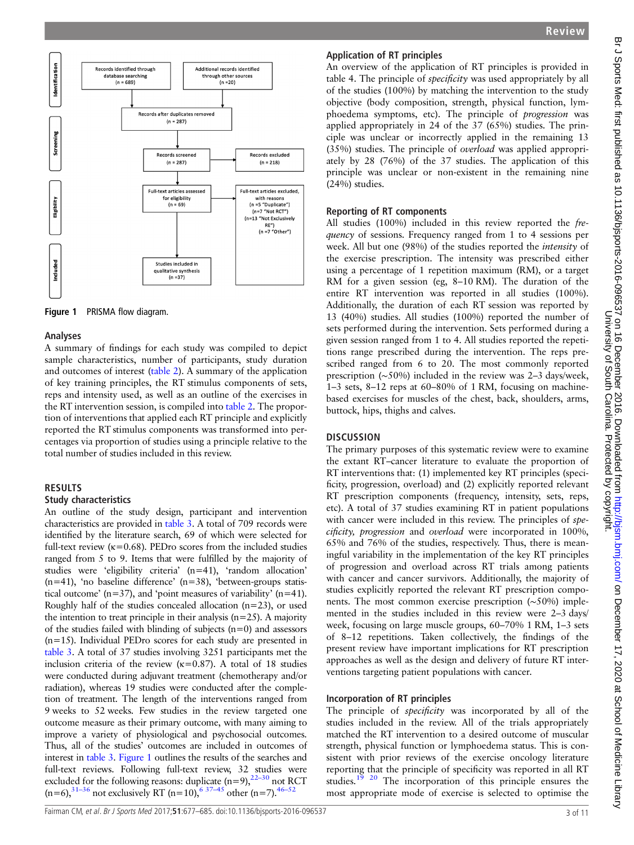<span id="page-2-0"></span>

Figure 1 PRISMA flow diagram.

#### Analyses

A summary of findings for each study was compiled to depict sample characteristics, number of participants, study duration and outcomes of interest ([table 2\)](#page-3-0). A summary of the application of key training principles, the RT stimulus components of sets, reps and intensity used, as well as an outline of the exercises in the RT intervention session, is compiled into [table 2.](#page-3-0) The proportion of interventions that applied each RT principle and explicitly reported the RT stimulus components was transformed into percentages via proportion of studies using a principle relative to the total number of studies included in this review.

#### **RESULTS**

#### Study characteristics

An outline of the study design, participant and intervention characteristics are provided in [table 3](#page-5-0). A total of 709 records were identified by the literature search, 69 of which were selected for full-text review ( $\kappa$ =0.68). PEDro scores from the included studies ranged from 5 to 9. Items that were fulfilled by the majority of studies were 'eligibility criteria' (n=41), 'random allocation' (n=41), 'no baseline difference' (n=38), 'between-groups statistical outcome' (n=37), and 'point measures of variability' (n=41). Roughly half of the studies concealed allocation  $(n=23)$ , or used the intention to treat principle in their analysis  $(n=25)$ . A majority of the studies failed with blinding of subjects (n=0) and assessors (n=15). Individual PEDro scores for each study are presented in [table 3.](#page-5-0) A total of 37 studies involving 3251 participants met the inclusion criteria of the review ( $\kappa$ =0.87). A total of 18 studies were conducted during adjuvant treatment (chemotherapy and/or radiation), whereas 19 studies were conducted after the completion of treatment. The length of the interventions ranged from 9 weeks to 52 weeks. Few studies in the review targeted one outcome measure as their primary outcome, with many aiming to improve a variety of physiological and psychosocial outcomes. Thus, all of the studies' outcomes are included in outcomes of interest in [table 3.](#page-5-0) Figure 1 outlines the results of the searches and full-text reviews. Following full-text review, 32 studies were excluded for the following reasons: duplicate  $(n=9)$ ,  $2^{2-30}$  not RCT  $(n=6)$ ,<sup>[31](#page-9-0)–36</sup> not exclusively RT  $(n=10)$ ,<sup>637–45</sup> other  $(n=7)$ .<sup>46–52</sup>

## Application of RT principles

An overview of the application of RT principles is provided in table 4. The principle of specificity was used appropriately by all of the studies (100%) by matching the intervention to the study objective (body composition, strength, physical function, lymphoedema symptoms, etc). The principle of progression was applied appropriately in 24 of the 37 (65%) studies. The principle was unclear or incorrectly applied in the remaining 13 (35%) studies. The principle of overload was applied appropriately by 28 (76%) of the 37 studies. The application of this principle was unclear or non-existent in the remaining nine (24%) studies.

## Reporting of RT components

All studies (100%) included in this review reported the frequency of sessions. Frequency ranged from 1 to 4 sessions per week. All but one (98%) of the studies reported the intensity of the exercise prescription. The intensity was prescribed either using a percentage of 1 repetition maximum (RM), or a target RM for a given session (eg, 8–10 RM). The duration of the entire RT intervention was reported in all studies (100%). Additionally, the duration of each RT session was reported by 13 (40%) studies. All studies (100%) reported the number of sets performed during the intervention. Sets performed during a given session ranged from 1 to 4. All studies reported the repetitions range prescribed during the intervention. The reps prescribed ranged from 6 to 20. The most commonly reported prescription (∼50%) included in the review was 2–3 days/week, 1–3 sets, 8–12 reps at 60–80% of 1 RM, focusing on machinebased exercises for muscles of the chest, back, shoulders, arms, buttock, hips, thighs and calves.

#### **DISCUSSION**

The primary purposes of this systematic review were to examine the extant RT–cancer literature to evaluate the proportion of RT interventions that: (1) implemented key RT principles (specificity, progression, overload) and (2) explicitly reported relevant RT prescription components (frequency, intensity, sets, reps, etc). A total of 37 studies examining RT in patient populations with cancer were included in this review. The principles of specificity, progression and overload were incorporated in 100%, 65% and 76% of the studies, respectively. Thus, there is meaningful variability in the implementation of the key RT principles of progression and overload across RT trials among patients with cancer and cancer survivors. Additionally, the majority of studies explicitly reported the relevant RT prescription components. The most common exercise prescription (∼50%) implemented in the studies included in this review were 2–3 days/ week, focusing on large muscle groups, 60–70% 1 RM, 1–3 sets of 8–12 repetitions. Taken collectively, the findings of the present review have important implications for RT prescription approaches as well as the design and delivery of future RT interventions targeting patient populations with cancer.

#### Incorporation of RT principles

The principle of *specificity* was incorporated by all of the studies included in the review. All of the trials appropriately matched the RT intervention to a desired outcome of muscular strength, physical function or lymphoedema status. This is consistent with prior reviews of the exercise oncology literature reporting that the principle of specificity was reported in all RT studies.<sup>19</sup><sup>20</sup> The incorporation of this principle ensures the most appropriate mode of exercise is selected to optimise the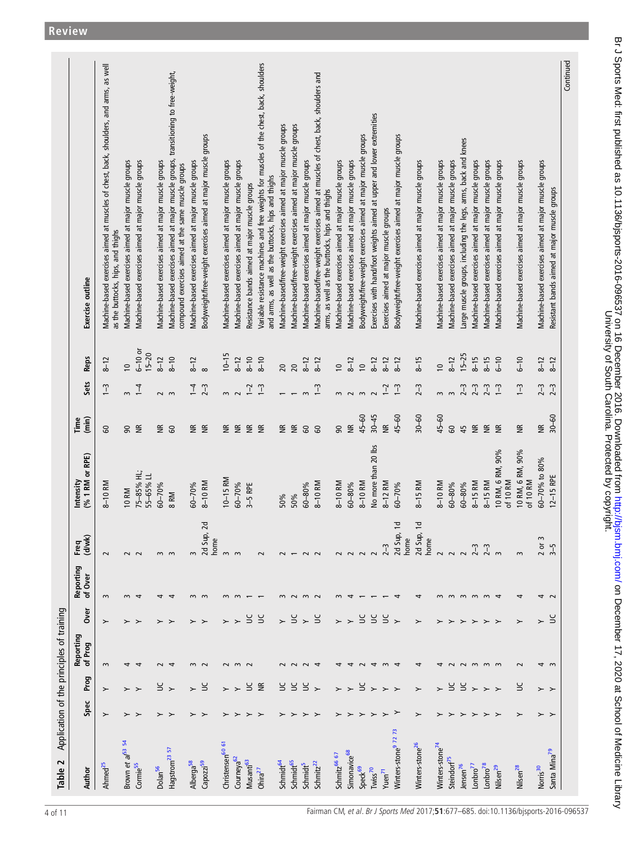<span id="page-3-0"></span>

| Author                             | Spec                       | Prog | Reporting<br>of Prog | Over          | Reporting<br>of Over     | (d/wk)<br>Freq        | [% 1 RM or RPE)<br>Intensity | $\binom{m}{k}$<br>Time | Sets           | <b>Reps</b>            | Exercise outline                                                                                                                              |
|------------------------------------|----------------------------|------|----------------------|---------------|--------------------------|-----------------------|------------------------------|------------------------|----------------|------------------------|-----------------------------------------------------------------------------------------------------------------------------------------------|
| Ahmed <sup>25</sup>                | ≻<br>$\succ$               |      | $\sim$               | ≻             | $\sim$                   | $\sim$                | 8-10 RM                      | 60                     | $\sqrt{1}$     | $8 - 12$               | Machine-based exercises aimed at muscles of chest, back, shoulders, and arms, as well<br>as the buttocks, hips, and thighs                    |
| 24<br>Brown et al <sup>53</sup>    | $\succ$                    |      | $\overline{ }$       | ≻             | $\sim$                   |                       | 10 RM                        | $\mathcal{S}$          | $\mathsf{m}$   | $\approx$              | Machine-based exercises aimed at major muscle groups                                                                                          |
| Cormie <sup>55</sup>               | ≻<br>$>$ $>$               |      | $\overline{a}$       | $\rightarrow$ | $\overline{4}$           | $\sim$ $\sim$         | 75-85% HL;<br>55-65% LL      | $\widetilde{\Xi}$      | $1 - 4$        | $6-10$ or<br>$15 - 20$ | Machine-based exercises aimed at major muscle groups                                                                                          |
| Dolan <sup>56</sup>                | $\leq$<br>$>$ $>$          |      | $\sim$               |               | 4                        |                       | $60 - 70%$                   |                        | $\sim$         | $8 - 12$               | Machine-based exercises aimed at major muscle groups                                                                                          |
| Hagstrom <sup>23</sup> 57          | $\rightarrow$              |      | $\overline{a}$       | ≻             | ₹                        | $m \, m$              | 8 RM                         | $E \approx$            | $\sim$         | $8 - 10$               | Machine-based exercises aimed at major muscle groups, transitioning to free-weight,<br>compound exercises aimed at the same muscle groups     |
| Alberga <sup>58</sup>              | $\leftarrow$               |      | $\sim$               | ≻             | $\sim$                   | $\sim$                | $60 - 70%$                   | $\widetilde{\Xi}$      | $1 - 4$        | $8 - 12$               | Machine-based exercises aimed at major muscle groups                                                                                          |
| Capozzi <sup>59</sup>              | $\leq$<br>$>$ $>$          |      | $\sim$               | >             | $\sim$                   | 2d Sup, 2d<br>home    | 8-10 RM                      | $\widetilde{\Xi}$      | $2 - 3$        | $\infty$               | Bodyweight/free-weight exercises aimed at major muscle groups                                                                                 |
| Christensen <sup>60 61</sup>       | $\succ$<br>$\succ$         |      |                      |               | $\sim$                   | $m \, m$              | $10-15$ RM                   | $\widetilde{\Xi}$      |                | $10 - 15$              | Machine-based exercises aimed at major muscle groups                                                                                          |
| Courneya <sup>62</sup>             | $\succ$                    |      | $\sim m$ $\sim$      |               | $\mathsf{m}$             |                       | $60 - 70%$                   | $\widetilde{\Xi}$      | m <sub>2</sub> | $8 - 12$               | Machine-based exercises aimed at major muscle groups                                                                                          |
| Musanti <sup>63</sup>              | $\leq$<br>$>$ $>$          |      |                      | $\leq$        |                          |                       | 3-5 RPE                      | $\widetilde{\Xi}$      | $\overline{1}$ | $8 - 10$               | Resistance bands aimed at major muscle groups                                                                                                 |
| Ohira $^{27}$                      | $\widetilde{\Xi}$          |      |                      | $\leq$        | $\overline{\phantom{0}}$ | $\sim$                |                              | $\widetilde{\Xi}$      | $1 - 3$        | $8 - 10$               | Variable resistance machines and free weights for muscles of the chest, back, shoulders<br>and arms, as well as the buttocks, hips and thighs |
| Schmidt <sup>64</sup>              | $\Xi$<br>$\succ$           |      |                      |               | $\sim$                   | $\sim$                | 50%                          | $\widetilde{\Xi}$      |                | 20                     | Machine-based/free-weight exercises aimed at major muscle groups                                                                              |
| Schmidt <sup>65</sup>              | $\leq$<br>$>$ $>$ $>$      |      | $\sim$               | $\leq$        | $\sim$                   |                       | 50%                          | $\widetilde{\Xi}$      |                | 20                     | Machine-based/free-weight exercises aimed at major muscle groups                                                                              |
| Schmidt <sup>5</sup>               | $\leq$                     |      | $\sim$ 4             | $\rightarrow$ | m <sub>2</sub>           | $\sim$ $\sim$         | $60 - 80%$                   | 88                     | $\mathsf{m}$   | $8 - 12$               | Machine-based exercises aimed at major muscle groups                                                                                          |
| Schmit $z^{22}$                    | $\rightarrow$              |      |                      | $\leq$        |                          |                       | 8-10 RM                      |                        | $1 - 3$        | $8 - 12$               | Machine-based/free-weight exercises aimed at muscles of chest, back, shoulders and<br>arms, as well as the buttocks, hips and thighs          |
| Schmitz <sup>66 67</sup>           | $\succ$                    |      | 4                    |               | $\sim$                   | $\sim$                | 8-10 RM                      | 8                      |                | $\overline{a}$         | Machine-based exercises aimed at major muscle groups                                                                                          |
| Simonavice <sup>68</sup>           | ≻                          |      | $\overline{a}$       |               | $\overline{\phantom{0}}$ | $\sim$                | $60 - 80%$                   | $\widetilde{\Xi}$      | $m \sim m$     | $8 - 12$               | Machine-based exercises aimed at major muscle groups                                                                                          |
| Speck <sup>69</sup>                | $\leq$<br>$\succ$          |      | $\sim$               | š             |                          | $\sim$ $\sim$         | 8-10 RM                      | $45 - 60$              |                | $\approx$              | Bodyweight/free-weight exercises aimed at major muscle groups                                                                                 |
| Twiss <sup>70</sup>                | $\succ$<br>$\succ$         |      | $\overline{4}$       | $\leq$        |                          |                       | No more than 20 lbs          | $30 - 45$              | $\sim$         | $8 - 12$               | Exercises with hand/foot weights aimed at upper and lower extremities                                                                         |
| Yuen <sup>71</sup>                 | $\succ$<br>$\succ$         |      | $\sim$               | $\leq$        |                          | $2 - 3$               | 8-12 RM                      | $\widetilde{\Xi}$      | $\overline{1}$ | $8 - 12$               | Exercises aimed at major muscle groups                                                                                                        |
| 73<br>Winters-stone <sup>972</sup> | $\rightarrow$<br>≻         |      | $\overline{a}$       | $\rightarrow$ | ਚ                        | 2d Sup, 1d<br>home    | $60 - 70%$                   | $45 - 60$              | $\frac{1}{2}$  | $8 - 12$               | Bodyweight/free-weight exercises aimed at major muscle groups                                                                                 |
| Winters-stone <sup>26</sup>        | $\succ$<br>$\succ$         |      | $\overline{ }$       | $\succ$       | 4                        | 2d Sup, 1d<br>home    | 8-15 RM                      | $30 - 60$              | $2 - 3$        | $8 - 15$               | Machine-based exercises aimed at major muscle groups                                                                                          |
| Winters-stone <sup>74</sup>        | $\succ$<br>$\succ$         |      | 4                    |               | m                        | $\sim$                | 8-10 RM                      | $45 - 60$              | $\mathsf{c}$   | $\overline{a}$         | Machine-based exercises aimed at major muscle groups                                                                                          |
| Steindorf <sup>75</sup>            | $\leq$<br>$>$ $>$ $>$      |      | $\sim$               |               | $\sim$                   | $\sim$                | $60 - 80%$                   | 60                     | $\sim$         | $8 - 12$               | Machine-based exercises aimed at major muscle groups                                                                                          |
| Jensen <sup>76</sup>               | š                          |      | $\sim$               |               | $\sim$                   | $\sim$                | $60 - 80%$                   | 45                     | $2 - 3$        | $15 - 25$              | Large muscle groups, including the legs, arms, back and knees                                                                                 |
| Lontoro <sup>77</sup>              | $\rightarrow$              |      | $\sim$               | >             | $\sim$                   | $2 - 3$               | $8-15$ RM                    | $\widetilde{\Xi}$      | $2 - 3$        | $8 - 15$               | Machine-based exercises aimed at major muscle groups                                                                                          |
| Lonbro <sup>78</sup>               | $\succ$<br>$\succ$ $\succ$ |      | $m \, m$             | $\succ$       | $\sim$                   | $2 - 3$               | 8-15 RM                      | $\widetilde{\Xi}$      | $2 - 3$        | $8 - 15$               | Machine-based exercises aimed at major muscle groups                                                                                          |
| Nilsen <sup>29</sup>               | $\rightarrow$              |      |                      |               | $\overline{a}$           | $\sim$                | 10 RM, 6 RM, 90%<br>of 10 RM | $\widetilde{\Xi}$      | $\sqrt{-3}$    | $6 - 10$               | Machine-based exercises aimed at major muscle groups                                                                                          |
| Nilsen <sup>28</sup>               | $\leq$<br>$\succ$          |      | $\sim$               | ≻             | 4                        | 3                     | 10 RM, 6 RM, 90%<br>of 10 RM | $\widetilde{\Xi}$      | $\frac{1}{2}$  | $6 - 10$               | Machine-based exercises aimed at major muscle groups                                                                                          |
| Norris <sup>30</sup>               | $>$ $>$<br>$>$ $>$         |      | 4 w                  | $\succ$       | 4 N                      | $\sim$<br>ŏ<br>$\sim$ | 60-70% to 80%                | $\widetilde{\Xi}$      | $2 - 3$        | $8 - 12$               | Machine-based exercises aimed at major muscle groups                                                                                          |
| Santa Mina <sup>79</sup>           |                            |      |                      | $\leq$        |                          | $3-5$                 | $12-15$ RPE                  | $30 - 60$              | $2 - 3$        | $8 - 12$               | Resistant bands aimed at major muscle groups                                                                                                  |

Br J Sports Med: first published as 10.1136/bjsports-2016-096537 on 16 December 2016. Downloaded from http://bjsm.bmj.com/ on December 17, 2020 at School of Medicine Library<br>University of South Carolished as 10.1136/bjspor Br J Sports Med: first published as 10.1136/bjsports-2016-096537 on 16 December 2016. Downloaded from <http://bjsm.bmj.com/> on December 17, 2020 at School of Medicine Library University of South Carolina. Protected by copyright.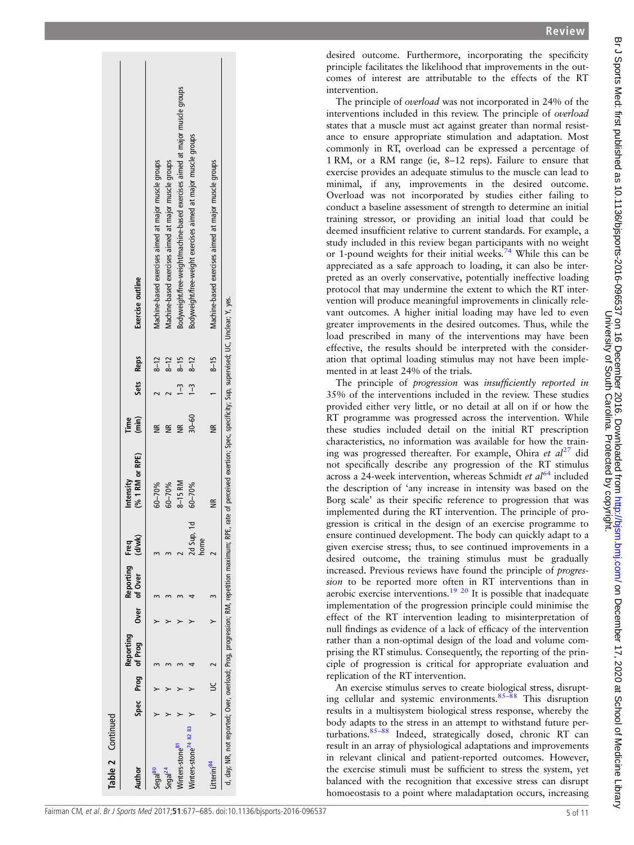| Author                    |                                    |  | Reporting | Reporting Freq<br>of Over (d/wk)<br>Spec Prog of Prog Over of Over |              | (% 1 RM or RPE)<br>Intensity                                                                                                                                                   | (min)<br>Time     |               | Sets Reps        | Exercise outline                                                            |
|---------------------------|------------------------------------|--|-----------|--------------------------------------------------------------------|--------------|--------------------------------------------------------------------------------------------------------------------------------------------------------------------------------|-------------------|---------------|------------------|-----------------------------------------------------------------------------|
| Segal <sup>80</sup>       |                                    |  |           |                                                                    |              | $60 - 70%$                                                                                                                                                                     | ž                 |               | $8 - 12$         | Machine-based exercises aimed at major muscle groups                        |
| eqal <sup>24</sup>        |                                    |  |           |                                                                    |              | $60 - 70%$                                                                                                                                                                     | $\widetilde{\Xi}$ |               | $8 - 12$         | Machine-based exercises aimed at major muscle groups                        |
| nters-stone <sup>81</sup> |                                    |  |           |                                                                    |              | 8-15 RM                                                                                                                                                                        | g                 | $\frac{1}{2}$ | $8 - 15$         | Bodyweight/free-weight/machine-based exercises aimed at major muscle groups |
|                           | $n$ ters-stone <sup>74 82 83</sup> |  |           |                                                                    | ਹ<br>2d Sup, | 60-70%                                                                                                                                                                         | $30 - 60$         |               | $1 - 3$ $8 - 12$ | Bodyweight/free-weight exercises aimed at major muscle groups               |
|                           |                                    |  |           |                                                                    | home         |                                                                                                                                                                                |                   |               |                  |                                                                             |
| itterini <sup>84</sup>    |                                    |  |           |                                                                    |              | β                                                                                                                                                                              | $MR = 1$ 8-15     |               |                  | Machine-based exercises aimed at major muscle groups                        |
|                           |                                    |  |           |                                                                    |              | d. day, NR, not reported; Over, overload; Prog. progression; RM, repetition maximum; RPE, rate of perceived exertion; Spec, specificity; Sup, supervised; UG, Unclear; Y, yes. |                   |               |                  |                                                                             |
|                           |                                    |  |           |                                                                    |              |                                                                                                                                                                                |                   |               |                  |                                                                             |

desired outcome. Furthermore, incorporating the speci ficity principle facilitates the likelihood that improvements in the outcomes of interest are attributable to the effects of the RT intervention.

The principle of overload was not incorporated in 24% of the interventions included in this review. The principle of overload states that a muscle must act against greater than normal resistance to ensure appropriate stimulation and adaptation. Most commonly in RT, overload can be expressed a percentage of 1 RM, or a RM range (ie, 8 –12 reps). Failure to ensure that exercise provides an adequate stimulus to the muscle can lead to minimal, if any, improvements in the desired outcome. Overload was not incorporated by studies either failing to conduct a baseline assessment of strength to determine an initial training stressor, or providing an initial load that could be deemed insuf ficient relative to current standards. For example, a study included in this review began participants with no weight or 1-pound weights for their initial weeks.<sup>[74](#page-10-0)</sup> While this can be appreciated as a safe approach to loading, it can also be interpreted as an overly conservative, potentially ineffective loading protocol that may undermine the extent to which the RT intervention will produce meaningful improvements in clinically relevant outcomes. A higher initial loading may have led to even greater improvements in the desired outcomes. Thus, while the load prescribed in many of the interventions may have been effective, the results should be interpreted with the consideration that optimal loading stimulus may not have been implemented in at least 24% of the trials.

The principle of progression was insufficiently reported in 35% of the interventions included in the review. These studies provided either very little, or no detail at all on if or how the RT programme was progressed across the intervention. While these studies included detail on the initial RT prescription characteristics, no information was available for how the training was progressed thereafter. For example, Ohira et  $al^{27}$  $al^{27}$  $al^{27}$  did not speci fically describe any progression of the RT stimulus across a 24-week intervention, whereas Schmidt et  $al^{64}$  $al^{64}$  $al^{64}$  included the description of 'any increase in intensity was based on the Borg scale ' as their speci fic reference to progression that was implemented during the RT intervention. The principle of progression is critical in the design of an exercise programme to ensure continued development. The body can quickly adapt to a given exercise stress; thus, to see continued improvements in a desired outcome, the training stimulus must be gradually increased. Previous reviews have found the principle of progression to be reported more often in RT interventions than in aerobic exercise interventions.<sup>19 20</sup> It is possible that inadequate implementation of the progression principle could minimise the effect of the RT intervention leading to misinterpretation of null findings as evidence of a lack of ef ficacy of the intervention rather than a non-optimal design of the load and volume comprising the RT stimulus. Consequently, the reporting of the principle of progression is critical for appropriate evaluation and replication of the RT intervention.

An exercise stimulus serves to create biological stress, disrupting cellular and systemic environments. $85-88$  $85-88$  This disruption results in a multisystem biological stress response, whereby the body adapts to the stress in an attempt to withstand future perturbations.[85](#page-10-0)–<sup>88</sup> Indeed, strategically dosed, chronic RT can result in an array of physiological adaptations and improvements in relevant clinical and patient-reported outcomes. However, the exercise stimuli must be suf ficient to stress the system, yet balanced with the recognition that excessive stress can disrupt homoeostasis to a point where maladaptation occurs, increasing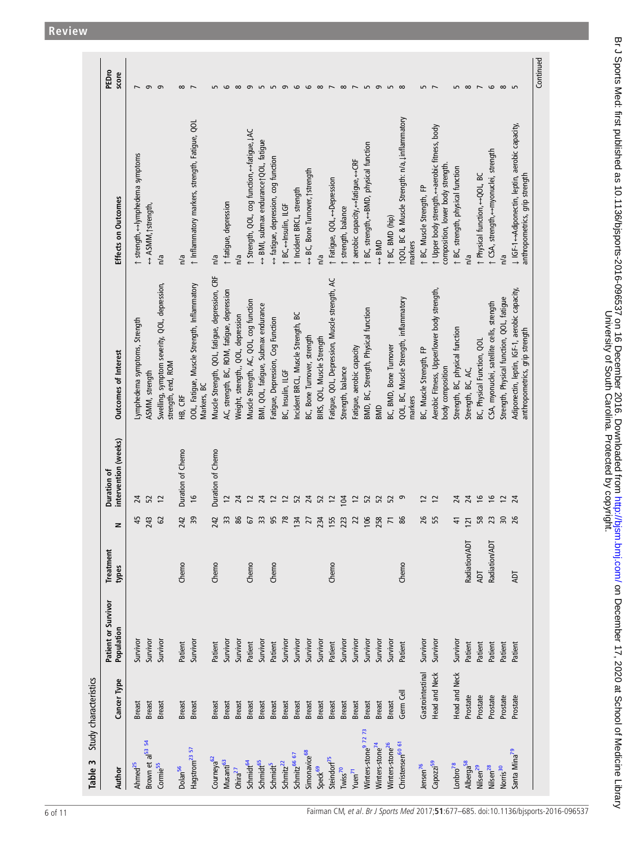<span id="page-5-0"></span>

|                                             | Cancer Type          | Patient or Survivor<br>Population | Treatment<br>types | z              | intervention (weeks)<br>Duration of | Outcomes of Interest                                                            | Effects on Outcomes                                                                | PEDro<br>score  |
|---------------------------------------------|----------------------|-----------------------------------|--------------------|----------------|-------------------------------------|---------------------------------------------------------------------------------|------------------------------------------------------------------------------------|-----------------|
| Ahmed <sup>25</sup>                         | <b>Breast</b>        | Survivor                          |                    | 45             | 24                                  | Lymphedema symptoms, Strength                                                   | ↑ strength, <-- lymphedema symptoms                                                | $\overline{ }$  |
| $\mathbf{r}$<br>Brown et al <sup>53</sup>   | Breast               | Survivor                          |                    | 243            | 52                                  | ASMM, strength                                                                  | ← ASMM, tstrength,                                                                 | $\sigma$        |
| Cormie <sup>55</sup>                        | <b>Breast</b>        | Survivor                          |                    | 62             | $\overline{1}$                      | Swelling, symptom severity, QOL, depression,<br>strength, end, ROM              | n/a                                                                                | $\sigma$        |
| Dolan <sup>56</sup>                         | <b>Breast</b>        | Patient                           | Chemo              | 242            | Duration of Chemo                   | 1B, CRF                                                                         | n/a                                                                                | $\infty$        |
| Hagstrom <sup>23</sup> 57                   | <b>Breast</b>        | Survivor                          |                    | 39             | $\frac{6}{5}$                       | OOL, Fatigue, Muscle Strength, Inflammatory<br>Markers, BC                      | ↑ Inflammatory markers, strength, Fatigue, QOL                                     | $\overline{ }$  |
| Courneya <sup>62</sup>                      | <b>Breast</b>        | Patient                           | Chemo              | 242            | Duration of Chemo                   | Muscle Strength, QOL, fatigue, depression, CRF                                  | n/a                                                                                | ഥ               |
| Musanti <sup>63</sup>                       | Breast               | Survivor                          |                    | 33             | $\overline{c}$                      | AC, strength, BC, ROM, fatigue, depression                                      | 1 fatigue, depression                                                              | $\circ$         |
| Ohira $^{27}$                               | <b>Breast</b>        | Survivor                          |                    | 86             | 24                                  | Weight, strength,, QOL, depression                                              | n/a                                                                                | $\infty$        |
| Schmidt <sup>64</sup>                       | Breast               | Patient                           | Chemo              | 67             | $\overline{c}$                      | Muscle Strength, AC, QOL, cog function                                          | 1 Strength, QOL, cog function, ← fatigue, J.AC                                     | ഐ               |
| Schmidt <sup>65</sup>                       | <b>Breast</b>        | Survivor                          |                    | 33             | 24                                  | BMI, QOL, fatigue, Submax endurance                                             | ← BMI, submax endurance†QOL, fatigue                                               | ഹ               |
| Schmidt <sup>5</sup>                        | Breast               | Patient                           | Chemo              | 95             | $\overline{c}$                      | Fatigue, Depression, Cog Function                                               | $\leftrightarrow$ fatigue, depression, cog function                                | LO <sub>1</sub> |
| Schmitz $2^2$                               | <b>Breast</b>        | Survivor                          |                    | 78             | $\overline{1}$                      | BC, Insulin, ILGF                                                               | ↑ BC, ↔ Insulin, ILGF                                                              | െ ര             |
| Schmitz <sup>66 67</sup>                    | <b>Breast</b>        | Survivor                          |                    | 134            | 52                                  | Incident BRCL, Muscle Strength, BC                                              | ↑ Incident BRCL, strength                                                          |                 |
| Simonavice <sup>68</sup>                    | Breast               | Survivor                          |                    | 27             | 24                                  | BC, Bone Turnover, strength                                                     | ← BC, Bone Turnover, ↑ strength                                                    |                 |
| Speck <sup>69</sup>                         | <b>Breast</b>        | Survivor                          |                    | 234            | 52                                  | BIRS, QOL, Muscle Strength                                                      | n/a                                                                                |                 |
| Steindorf <sup>75</sup>                     | <b>Breast</b>        | Patient                           | Chemo              | 155            | $\overline{c}$                      | Fatigue, QOL, Depression, Muscle strength, AC                                   | ↑ Fatigue, QOL, << Depression                                                      | <b>687875</b>   |
| Twiss <sup>70</sup>                         | Breast               | Survivor                          |                    | 223            | 104                                 | Strength, balance                                                               | strength, balance                                                                  |                 |
| Yuen <sup>71</sup>                          | <b>Breast</b>        | Survivor                          |                    | $\overline{2}$ | $\overline{c}$                      | Fatigue, aerobic capacity                                                       | aerobic capacity, ← fatigue, ← CRF                                                 |                 |
| Winters-stone <sup>9</sup> <sup>72</sup> 73 | <b>Breast</b>        | Survivor                          |                    | 106            | 52                                  | BMD, BC, Strength, Physical function                                            | ↑ BC, strength, << BMD, physical function                                          |                 |
| Winters-stone <sup>74</sup>                 | <b>Breast</b>        | Survivor                          |                    | 258            | 52                                  | <b>SMD</b>                                                                      | $\leftrightarrow$ BMD                                                              | ഐ               |
| Winters-stone <sup>26</sup>                 | <b>Breast</b>        | Survivor                          |                    | $\overline{7}$ | 52                                  | BC, BMD, Bone Turnover                                                          | 1 BC, BMD (hip)                                                                    | $\sqrt{2}$      |
| Christensen <sup>60 61</sup>                | Germ Cell            | Patient                           | Chemo              | 86             | Q                                   | QOL, BC, Muscle Strength, inflammatory<br>markers                               | 1QOL, BC & Muscle Strength: n/a, Linflammatory<br>markers                          |                 |
| Jensen <sup>76</sup>                        | Gastrointestinal     | Survivor                          |                    | 26             | $\overline{c}$                      | BC, Muscle Strength, FP                                                         | ↑ BC, Muscle Strength, FP                                                          | 5               |
| Capozzi <sup>59</sup>                       | Head and Neck        | Survivor                          |                    | 55             | 12                                  | Aerobic Fitness, Upper/lower body strength,<br>body composition                 | 1 Upper body strength. ←aerobic fitness, body<br>composition, lower body strength. | $\overline{ }$  |
| $Lonbro$ 78                                 | <b>Head and Neck</b> | Survivor                          |                    | $\ddot{4}$     | 24                                  | Strength, BC, physical function                                                 | 1 BC, strength, physical function                                                  | 5               |
| Alberga <sup>58</sup>                       | Prostate             | Patient                           | Radiation/ADT      | 121            | 24                                  | Strength, BC, AC,                                                               |                                                                                    | $\infty$        |
| Nilsen <sup>29</sup>                        | Prostate             | Patient                           | ADT                | 58             | $\frac{6}{2}$                       | BC, Physical Function, QOL                                                      | ↑ Physical function, << QOL, BC                                                    | $\overline{ }$  |
| Nilsen <sup>28</sup>                        | Prostate             | Patient                           | Radiation/ADT      | 23             | $\frac{6}{2}$                       | CSA, myonuclei, satellite cells, strength                                       | ↑ CSA, strength, ← myonuclei, strength                                             | ٩               |
| Norris <sup>30</sup>                        | Prostate             | Patient                           |                    | $\sqrt{2}$     | $\overline{c}$                      | Strength, Physical function, QOL, fatigue                                       |                                                                                    | $\infty$ in     |
| Santa Mina <sup>79</sup>                    | Prostate             | Patient                           | ADT                | 26             | $\overline{24}$                     | Adiponectin, leptin, IGF-1, aerobic capacity,<br>anthropometrics, grip strength | ↓ IGF-1←Adiponectin, leptin, aerobic capacity,<br>anthropometrics, grip strength   |                 |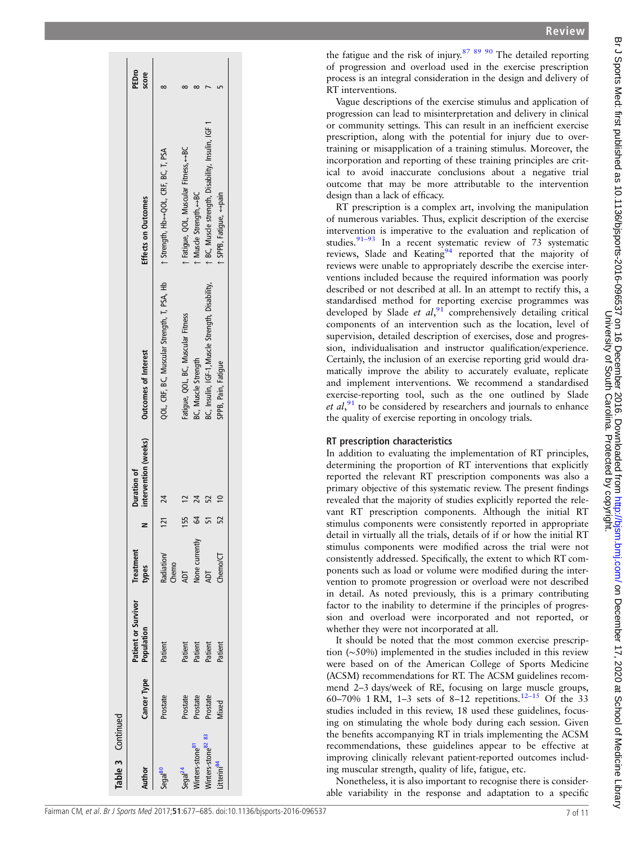|                              | Cancer Type | Patient or Survivor<br>Treatment<br>Population |                     | z              | Duration of |                                                                                                   |                                                 | PEDro |
|------------------------------|-------------|------------------------------------------------|---------------------|----------------|-------------|---------------------------------------------------------------------------------------------------|-------------------------------------------------|-------|
| uthor                        |             |                                                | types               |                |             | intervention (weeks) Outcomes of Interest                                                         | Effects on Outcomes                             | score |
| Segal <sup>80</sup>          | Prostate    | Patient                                        | Radiation/<br>Chemo | $121$ $24$     |             | QOL, CRF, BC, Muscular Strength, T, PSA, Hb 1 Strength, Hb $\leftrightarrow$ QOL, CRF, BC, T, PSA |                                                 |       |
| egal <sup>24</sup>           | Prostate    | Patient                                        | $\overline{5}$      | 155            |             | Fatigue, QOL, BC, Muscular Fitness                                                                | 1 Fatigue, QOL, Muscular Fitness, <- BC         |       |
| nters-stone <sup>81</sup>    | Prostate    | Patient                                        | Jone currently      | $\mathfrak{g}$ |             | BC, Muscle Strength                                                                               | ↑ Muscle Strength, << BC                        |       |
| vters-stone <sup>82</sup> 83 | Prostate    | Patient                                        | ДQ                  | $\overline{5}$ |             | BC, Insulin, IGF-1, Muscle Strength, Disability,                                                  | 1 BC, Muscle strength, Disability, Insulin, IGF |       |
| itterini <sup>84</sup>       | Vixed       | Patient                                        | :hemo/CT            | 52 10          |             | SPPB, Pain, Fatigue                                                                               | ↑ SPPB, Fatigue, <>pain                         |       |

the fatigue and the risk of injury.<sup>[87 89 90](#page-10-0)</sup> The detailed reporting of progression and overload used in the exercise prescription process is an integral consideration in the design and delivery of RT interventions.

Vague descriptions of the exercise stimulus and application of progression can lead to misinterpretation and delivery in clinical or community settings. This can result in an inef ficient exercise prescription, along with the potential for injury due to overtraining or misapplication of a training stimulus. Moreover, the incorporation and reporting of these training principles are critical to avoid inaccurate conclusions about a negative trial outcome that may be more attributable to the intervention design than a lack of ef ficacy.

RT prescription is a complex art, involving the manipulation of numerous variables. Thus, explicit description of the exercise intervention is imperative to the evaluation and replication of studies.<sup>91-[93](#page-10-0)</sup> In a recent systematic review of  $73$  systematic reviews, Slade and Keating<sup>[94](#page-10-0)</sup> reported that the majority of reviews were unable to appropriately describe the exercise interventions included because the required information was poorly described or not described at all. In an attempt to rectify this, a standardised method for reporting exercise programmes was developed by Slade et  $al$ ,  $91$  comprehensively detailing critical components of an intervention such as the location, level of supervision, detailed description of exercises, dose and progression, individualisation and instructor qualification/experience. Certainly, the inclusion of an exercise reporting grid would dramatically improve the ability to accurately evaluate, replicate and implement interventions. We recommend a standardised exercise-reporting tool, such as the one outlined by Slade et  $al$ ,<sup>[91](#page-10-0)</sup>, to be considered by researchers and journals to enhance the quality of exercise reporting in oncology trials.

#### RT prescription characteristics

In addition to evaluating the implementation of RT principles, determining the proportion of RT interventions that explicitly reported the relevant RT prescription components was also a primary objective of this systematic review. The present findings revealed that the majority of studies explicitly reported the relevant RT prescription components. Although the initial RT stimulus components were consistently reported in appropriate detail in virtually all the trials, details of if or how the initial RT stimulus components were modi fied across the trial were not consistently addressed. Speci fically, the extent to which RT components such as load or volume were modified during the intervention to promote progression or overload were not described in detail. As noted previously, this is a primary contributing factor to the inability to determine if the principles of progression and overload were incorporated and not reported, or whether they were not incorporated at all.

It should be noted that the most common exercise prescription (∼50%) implemented in the studies included in this review were based on of the American College of Sports Medicine (ACSM) recommendations for RT. The ACSM guidelines recommend 2–3 days/week of RE, focusing on large muscle groups, 60 –70% 1 RM, 1 –3 sets of 8 –12 repetitions.[12](#page-8-0) –<sup>15</sup> Of the 33 studies included in this review, 18 used these guidelines, focusing on stimulating the whole body during each session. Given the bene fits accompanying RT in trials implementing the ACSM recommendations, these guidelines appear to be effective at improving clinically relevant patient-reported outcomes including muscular strength, quality of life, fatigue, etc.

Nonetheless, it is also important to recognise there is considerable variability in the response and adaptation to a specific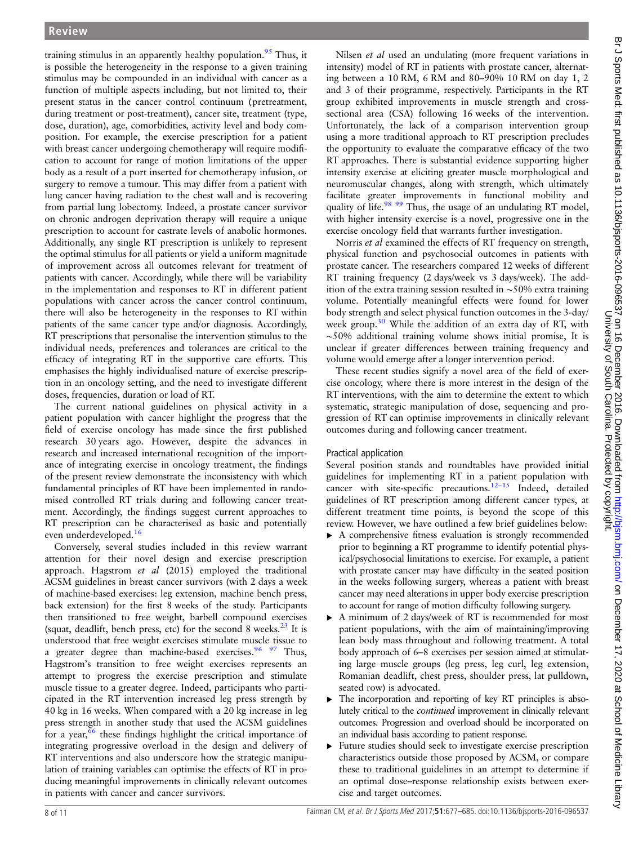training stimulus in an apparently healthy population.<sup>[95](#page-10-0)</sup> Thus, it is possible the heterogeneity in the response to a given training stimulus may be compounded in an individual with cancer as a function of multiple aspects including, but not limited to, their present status in the cancer control continuum (pretreatment, during treatment or post-treatment), cancer site, treatment (type, dose, duration), age, comorbidities, activity level and body composition. For example, the exercise prescription for a patient with breast cancer undergoing chemotherapy will require modification to account for range of motion limitations of the upper body as a result of a port inserted for chemotherapy infusion, or surgery to remove a tumour. This may differ from a patient with lung cancer having radiation to the chest wall and is recovering from partial lung lobectomy. Indeed, a prostate cancer survivor on chronic androgen deprivation therapy will require a unique prescription to account for castrate levels of anabolic hormones. Additionally, any single RT prescription is unlikely to represent the optimal stimulus for all patients or yield a uniform magnitude of improvement across all outcomes relevant for treatment of patients with cancer. Accordingly, while there will be variability in the implementation and responses to RT in different patient populations with cancer across the cancer control continuum, there will also be heterogeneity in the responses to RT within patients of the same cancer type and/or diagnosis. Accordingly, RT prescriptions that personalise the intervention stimulus to the individual needs, preferences and tolerances are critical to the efficacy of integrating RT in the supportive care efforts. This emphasises the highly individualised nature of exercise prescription in an oncology setting, and the need to investigate different doses, frequencies, duration or load of RT.

The current national guidelines on physical activity in a patient population with cancer highlight the progress that the field of exercise oncology has made since the first published research 30 years ago. However, despite the advances in research and increased international recognition of the importance of integrating exercise in oncology treatment, the findings of the present review demonstrate the inconsistency with which fundamental principles of RT have been implemented in randomised controlled RT trials during and following cancer treatment. Accordingly, the findings suggest current approaches to RT prescription can be characterised as basic and potentially even underdeveloped.[16](#page-8-0)

Conversely, several studies included in this review warrant attention for their novel design and exercise prescription approach. Hagstrom et al (2015) employed the traditional ACSM guidelines in breast cancer survivors (with 2 days a week of machine-based exercises: leg extension, machine bench press, back extension) for the first 8 weeks of the study. Participants then transitioned to free weight, barbell compound exercises (squat, deadlift, bench press, etc) for the second 8 weeks.<sup>[23](#page-9-0)</sup> It is understood that free weight exercises stimulate muscle tissue to a greater degree than machine-based exercises. $9697$  Thus, Hagstrom's transition to free weight exercises represents an attempt to progress the exercise prescription and stimulate muscle tissue to a greater degree. Indeed, participants who participated in the RT intervention increased leg press strength by 40 kg in 16 weeks. When compared with a 20 kg increase in leg press strength in another study that used the ACSM guidelines for a year, $66$  these findings highlight the critical importance of integrating progressive overload in the design and delivery of RT interventions and also underscore how the strategic manipulation of training variables can optimise the effects of RT in producing meaningful improvements in clinically relevant outcomes in patients with cancer and cancer survivors.

Nilsen et al used an undulating (more frequent variations in intensity) model of RT in patients with prostate cancer, alternating between a 10 RM, 6 RM and 80–90% 10 RM on day 1, 2 and 3 of their programme, respectively. Participants in the RT group exhibited improvements in muscle strength and crosssectional area (CSA) following 16 weeks of the intervention. Unfortunately, the lack of a comparison intervention group using a more traditional approach to RT prescription precludes the opportunity to evaluate the comparative efficacy of the two RT approaches. There is substantial evidence supporting higher intensity exercise at eliciting greater muscle morphological and neuromuscular changes, along with strength, which ultimately facilitate greater improvements in functional mobility and quality of life.<sup>[98 99](#page-10-0)</sup> Thus, the usage of an undulating RT model, with higher intensity exercise is a novel, progressive one in the exercise oncology field that warrants further investigation.

Norris et al examined the effects of RT frequency on strength, physical function and psychosocial outcomes in patients with prostate cancer. The researchers compared 12 weeks of different RT training frequency (2 days/week vs 3 days/week). The addition of the extra training session resulted in ∼50% extra training volume. Potentially meaningful effects were found for lower body strength and select physical function outcomes in the 3-day/ week group.<sup>[30](#page-9-0)</sup> While the addition of an extra day of RT, with ∼50% additional training volume shows initial promise, It is unclear if greater differences between training frequency and volume would emerge after a longer intervention period.

These recent studies signify a novel area of the field of exercise oncology, where there is more interest in the design of the RT interventions, with the aim to determine the extent to which systematic, strategic manipulation of dose, sequencing and progression of RT can optimise improvements in clinically relevant outcomes during and following cancer treatment.

#### Practical application

Several position stands and roundtables have provided initial guidelines for implementing RT in a patient population with cancer with site-specific precautions.<sup>[12](#page-8-0)–15</sup> Indeed, detailed guidelines of RT prescription among different cancer types, at different treatment time points, is beyond the scope of this review. However, we have outlined a few brief guidelines below:

- ▶ A comprehensive fitness evaluation is strongly recommended prior to beginning a RT programme to identify potential physical/psychosocial limitations to exercise. For example, a patient with prostate cancer may have difficulty in the seated position in the weeks following surgery, whereas a patient with breast cancer may need alterations in upper body exercise prescription to account for range of motion difficulty following surgery.
- ▸ A minimum of 2 days/week of RT is recommended for most patient populations, with the aim of maintaining/improving lean body mass throughout and following treatment. A total body approach of 6–8 exercises per session aimed at stimulating large muscle groups (leg press, leg curl, leg extension, Romanian deadlift, chest press, shoulder press, lat pulldown, seated row) is advocated.
- ▸ The incorporation and reporting of key RT principles is absolutely critical to the continued improvement in clinically relevant outcomes. Progression and overload should be incorporated on an individual basis according to patient response.
- ▸ Future studies should seek to investigate exercise prescription characteristics outside those proposed by ACSM, or compare these to traditional guidelines in an attempt to determine if an optimal dose–response relationship exists between exercise and target outcomes.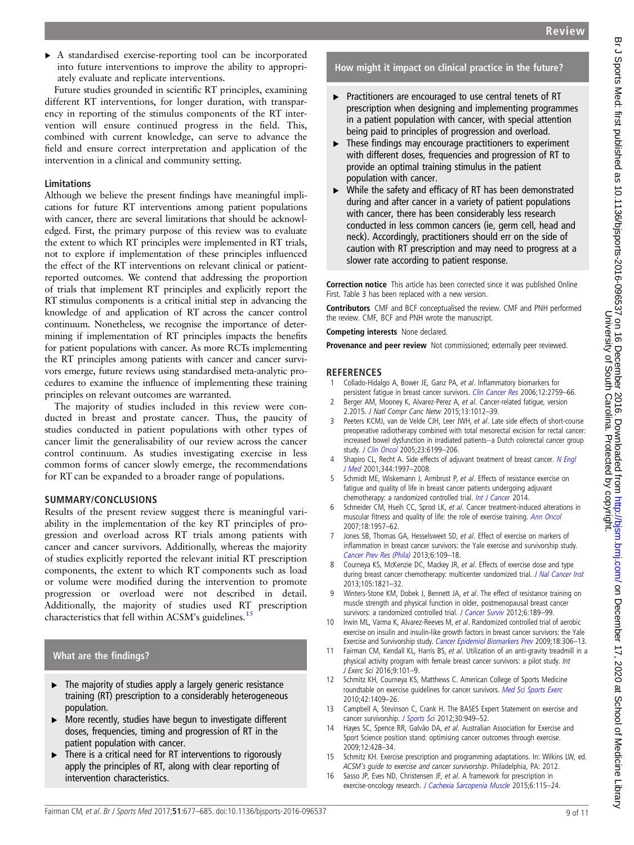<span id="page-8-0"></span>▸ A standardised exercise-reporting tool can be incorporated into future interventions to improve the ability to appropriately evaluate and replicate interventions.

Future studies grounded in scientific RT principles, examining different RT interventions, for longer duration, with transparency in reporting of the stimulus components of the RT intervention will ensure continued progress in the field. This, combined with current knowledge, can serve to advance the field and ensure correct interpretation and application of the intervention in a clinical and community setting.

## Limitations

Although we believe the present findings have meaningful implications for future RT interventions among patient populations with cancer, there are several limitations that should be acknowledged. First, the primary purpose of this review was to evaluate the extent to which RT principles were implemented in RT trials, not to explore if implementation of these principles influenced the effect of the RT interventions on relevant clinical or patientreported outcomes. We contend that addressing the proportion of trials that implement RT principles and explicitly report the RT stimulus components is a critical initial step in advancing the knowledge of and application of RT across the cancer control continuum. Nonetheless, we recognise the importance of determining if implementation of RT principles impacts the benefits for patient populations with cancer. As more RCTs implementing the RT principles among patients with cancer and cancer survivors emerge, future reviews using standardised meta-analytic procedures to examine the influence of implementing these training principles on relevant outcomes are warranted.

The majority of studies included in this review were conducted in breast and prostate cancer. Thus, the paucity of studies conducted in patient populations with other types of cancer limit the generalisability of our review across the cancer control continuum. As studies investigating exercise in less common forms of cancer slowly emerge, the recommendations for RT can be expanded to a broader range of populations.

## SUMMARY/CONCLUSIONS

Results of the present review suggest there is meaningful variability in the implementation of the key RT principles of progression and overload across RT trials among patients with cancer and cancer survivors. Additionally, whereas the majority of studies explicitly reported the relevant initial RT prescription components, the extent to which RT components such as load or volume were modified during the intervention to promote progression or overload were not described in detail. Additionally, the majority of studies used RT prescription characteristics that fell within ACSM's guidelines.<sup>1</sup>

## What are the findings?

- $\blacktriangleright$  The majority of studies apply a largely generic resistance training (RT) prescription to a considerably heterogeneous population.
- ▶ More recently, studies have begun to investigate different doses, frequencies, timing and progression of RT in the patient population with cancer.
- $\triangleright$  There is a critical need for RT interventions to rigorously apply the principles of RT, along with clear reporting of intervention characteristics.

## How might it impact on clinical practice in the future?

- ▸ Practitioners are encouraged to use central tenets of RT prescription when designing and implementing programmes in a patient population with cancer, with special attention being paid to principles of progression and overload.
- ▸ These findings may encourage practitioners to experiment with different doses, frequencies and progression of RT to provide an optimal training stimulus in the patient population with cancer.
- ▸ While the safety and efficacy of RT has been demonstrated during and after cancer in a variety of patient populations with cancer, there has been considerably less research conducted in less common cancers (ie, germ cell, head and neck). Accordingly, practitioners should err on the side of caution with RT prescription and may need to progress at a slower rate according to patient response.

Correction notice This article has been corrected since it was published Online First. Table 3 has been replaced with a new version.

Contributors CMF and BCF conceptualised the review. CMF and PNH performed the review. CMF, BCF and PNH wrote the manuscript.

Competing interests None declared.

Provenance and peer review Not commissioned; externally peer reviewed.

## **REFERENCES**

- Collado-Hidalgo A, Bower JE, Ganz PA, et al. Inflammatory biomarkers for persistent fatigue in breast cancer survivors. [Clin Cancer Res](http://dx.doi.org/10.1158/1078-0432.CCR-05-2398) 2006;12:2759–66.
- 2 Berger AM, Mooney K, Alvarez-Perez A, et al. Cancer-related fatigue, version 2.2015. J Natl Compr Canc Netw 2015;13:1012–39.
- 3 Peeters KCMJ, van de Velde CJH, Leer JWH, et al. Late side effects of short-course preoperative radiotherapy combined with total mesorectal excision for rectal cancer: increased bowel dysfunction in irradiated patients--a Dutch colorectal cancer group study. [J Clin Oncol](http://dx.doi.org/10.1200/JCO.2005.14.779) 2005;23:6199-206.
- Shapiro CL, Recht A. Side effects of adjuvant treatment of breast cancer. [N Engl](http://dx.doi.org/10.1056/NEJM200106283442607) [J Med](http://dx.doi.org/10.1056/NEJM200106283442607) 2001;344:1997–2008.
- Schmidt ME, Wiskemann J, Armbrust P, et al. Effects of resistance exercise on fatigue and quality of life in breast cancer patients undergoing adjuvant chemotherapy: a randomized controlled trial. [Int J Cancer](http://dx.doi.org/10.1002/ijc.29383) 2014.
- 6 Schneider CM, Hseih CC, Sprod LK, et al. Cancer treatment-induced alterations in muscular fitness and quality of life: the role of exercise training. [Ann Oncol](http://dx.doi.org/10.1093/annonc/mdm364) 2007;18:1957–62.
- 7 Jones SB, Thomas GA, Hesselsweet SD, et al. Effect of exercise on markers of inflammation in breast cancer survivors: the Yale exercise and survivorship study. [Cancer Prev Res \(Phila\)](http://dx.doi.org/10.1158/1940-6207.CAPR-12-0278) 2013;6:109–18.
- 8 Courneya KS, McKenzie DC, Mackey JR, et al. Effects of exercise dose and type during breast cancer chemotherapy: multicenter randomized trial. [J Nal Cancer Inst](http://dx.doi.org/10.1093/jnci/djt297) 2013;105:1821–32.
- Winters-Stone KM, Dobek J, Bennett JA, et al. The effect of resistance training on muscle strength and physical function in older, postmenopausal breast cancer survivors: a randomized controlled trial. [J Cancer Surviv](http://dx.doi.org/10.1007/s11764-011-0210-x) 2012;6:189-99.
- 10 Irwin ML, Varma K, Alvarez-Reeves M, et al. Randomized controlled trial of aerobic exercise on insulin and insulin-like growth factors in breast cancer survivors: the Yale Exercise and Survivorship study. [Cancer Epidemiol Biomarkers Prev](http://dx.doi.org/10.1158/1055-9965.EPI-08-0531) 2009;18:306–13.
- 11 Fairman CM, Kendall KL, Harris BS, et al. Utilization of an anti-gravity treadmill in a physical activity program with female breast cancer survivors: a pilot study. Int J Exerc Sci 2016;9:101–9.
- 12 Schmitz KH, Courneya KS, Matthews C. American College of Sports Medicine roundtable on exercise guidelines for cancer survivors. [Med Sci Sports Exerc](http://dx.doi.org/10.1249/MSS.0b013e3181e0c112) 2010;42:1409–26.
- 13 Campbell A, Stevinson C, Crank H. The BASES Expert Statement on exercise and cancer survivorship. [J Sports Sci](http://dx.doi.org/10.1080/02640414.2012.671953) 2012;30:949-52.
- 14 Hayes SC, Spence RR, Galvão DA, et al. Australian Association for Exercise and Sport Science position stand: optimising cancer outcomes through exercise. 2009;12:428–34.
- 15 Schmitz KH. Exercise prescription and programming adaptations. In: Wilkins LW, ed. ACSM's guide to exercise and cancer survivorship. Philadelphia, PA: 2012.
- 16 Sasso JP, Eves ND, Christensen JF, et al. A framework for prescription in exercise-oncology research. [J Cachexia Sarcopenia Muscle](http://dx.doi.org/10.1002/jcsm.12042) 2015;6:115-24.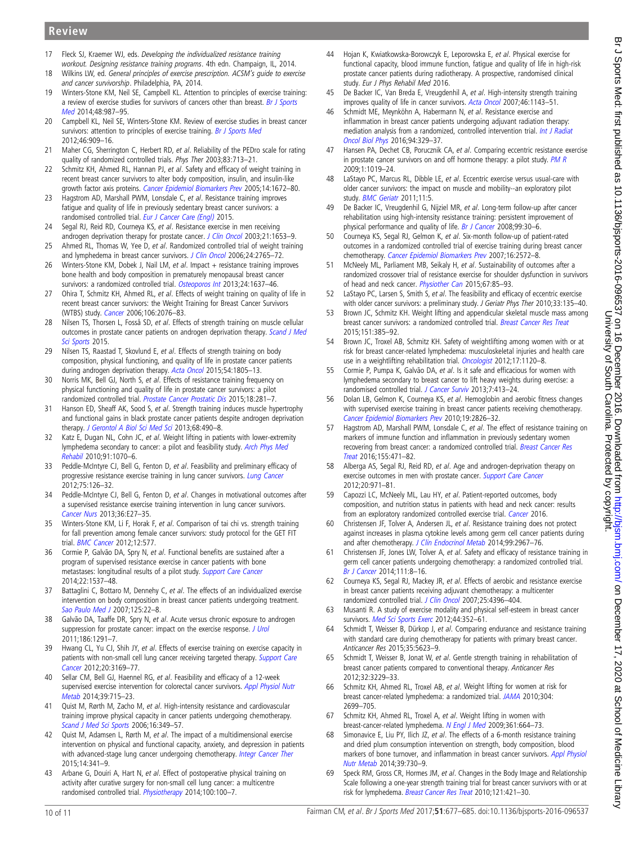## <span id="page-9-0"></span>**Review**

- 17 Fleck SJ, Kraemer WJ, eds. Developing the individualized resistance training workout. Designing resistance training programs. 4th edn. Champaign, IL, 2014.
- 18 Wilkins LW, ed. General principles of exercise prescription. ACSM's quide to exercise and cancer survivorship. Philadelphia, PA, 2014.
- 19 Winters-Stone KM, Neil SE, Campbell KL. Attention to principles of exercise training: a review of exercise studies for survivors of cancers other than breast. [Br J Sports](http://dx.doi.org/10.1136/bjsports-2012-091732) [Med](http://dx.doi.org/10.1136/bjsports-2012-091732) 2014;48:987–95.
- 20 Campbell KL, Neil SE, Winters-Stone KM. Review of exercise studies in breast cancer survivors: attention to principles of exercise training. [Br J Sports Med](http://dx.doi.org/10.1136/bjsports-2010-082719) 2012;46:909–16.
- 21 Maher CG, Sherrington C, Herbert RD, et al. Reliability of the PEDro scale for rating quality of randomized controlled trials. Phys Ther 2003;83:713–21.
- 22 Schmitz KH, Ahmed RL, Hannan PJ, et al. Safety and efficacy of weight training in recent breast cancer survivors to alter body composition, insulin, and insulin-like growth factor axis proteins. [Cancer Epidemiol Biomarkers Prev](http://dx.doi.org/10.1158/1055-9965.EPI-04-0736) 2005;14:1672–80.
- 23 Hagstrom AD, Marshall PWM, Lonsdale C, et al. Resistance training improves fatigue and quality of life in previously sedentary breast cancer survivors: a randomised controlled trial. [Eur J Cancer Care \(Engl\)](http://dx.doi.org/10.1111/ecc.12422) 2015.
- 24 Segal RJ, Reid RD, Courneya KS, et al. Resistance exercise in men receiving androgen deprivation therapy for prostate cancer. [J Clin Oncol](http://dx.doi.org/10.1200/JCO.2003.09.534) 2003;21:1653-9.
- 25 Ahmed RL, Thomas W, Yee D, et al. Randomized controlled trial of weight training and lymphedema in breast cancer survivors. [J Clin Oncol](http://dx.doi.org/10.1200/JCO.2005.03.6749) 2006;24:2765-72.
- 26 Winters-Stone KM, Dobek J, Nail LM, et al. Impact + resistance training improves bone health and body composition in prematurely menopausal breast cancer survivors: a randomized controlled trial. [Osteoporos Int](http://dx.doi.org/10.1007/s00198-012-2143-2) 2013;24:1637-46.
- 27 Ohira T, Schmitz KH, Ahmed RL, et al. Effects of weight training on quality of life in recent breast cancer survivors: the Weight Training for Breast Cancer Survivors (WTBS) study. [Cancer](http://dx.doi.org/10.1002/cncr.21829) 2006;106:2076–83.
- 28 Nilsen TS, Thorsen L, Fosså SD, et al. Effects of strength training on muscle cellular outcomes in prostate cancer patients on androgen deprivation therapy. [Scand J Med](http://dx.doi.org/10.1111/sms.12543) [Sci Sports](http://dx.doi.org/10.1111/sms.12543) 2015
- 29 Nilsen TS, Raastad T, Skovlund E, et al. Effects of strength training on body composition, physical functioning, and quality of life in prostate cancer patients during androgen deprivation therapy. [Acta Oncol](http://dx.doi.org/10.3109/0284186X.2015.1037008) 2015;54:1805-13.
- 30 Norris MK, Bell GJ, North S, et al. Effects of resistance training frequency on physical functioning and quality of life in prostate cancer survivors: a pilot randomized controlled trial. [Prostate Cancer Prostatic Dis](http://dx.doi.org/10.1038/pcan.2015.28) 2015;18:281–7.
- 31 Hanson ED, Sheaff AK, Sood S, et al. Strength training induces muscle hypertrophy and functional gains in black prostate cancer patients despite androgen deprivation therapy. [J Gerontol A Biol Sci Med Sci](http://dx.doi.org/10.1093/gerona/gls206) 2013;68:490-8.
- 32 Katz E, Dugan NL, Cohn JC, et al. Weight lifting in patients with lower-extremity lymphedema secondary to cancer: a pilot and feasibility study. [Arch Phys Med](http://dx.doi.org/10.1016/j.apmr.2010.03.021) [Rehabil](http://dx.doi.org/10.1016/j.apmr.2010.03.021) 2010;91:1070–6.
- 33 Peddle-McIntyre CJ, Bell G, Fenton D, et al. Feasibility and preliminary efficacy of progressive resistance exercise training in lung cancer survivors. [Lung Cancer](http://dx.doi.org/10.1016/j.lungcan.2011.05.026) 2012;75:126–32.
- 34 Peddle-McIntyre CJ, Bell G, Fenton D, et al. Changes in motivational outcomes after a supervised resistance exercise training intervention in lung cancer survivors. [Cancer Nurs](http://dx.doi.org/10.1097/NCC.0b013e31824a78e4) 2013;36:E27–35.
- 35 Winters-Stone KM, Li F, Horak F, et al. Comparison of tai chi vs. strength training for fall prevention among female cancer survivors: study protocol for the GET FIT trial. [BMC Cancer](http://dx.doi.org/10.1186/1471-2407-12-577) 2012;12:577.
- 36 Cormie P, Galvão DA, Spry N, et al. Functional benefits are sustained after a program of supervised resistance exercise in cancer patients with bone metastases: longitudinal results of a pilot study. [Support Care Cancer](http://dx.doi.org/10.1007/s00520-013-2103-1) 2014;22:1537–48.
- 37 Battaglini C, Bottaro M, Dennehy C, et al. The effects of an individualized exercise intervention on body composition in breast cancer patients undergoing treatment. [Sao Paulo Med J](http://dx.doi.org/10.1590/S1516-31802007000100005) 2007;125:22–8.
- 38 Galvão DA, Taaffe DR, Spry N, et al. Acute versus chronic exposure to androgen suppression for prostate cancer: impact on the exercise response. [J Urol](http://dx.doi.org/10.1016/j.juro.2011.05.055) 2011;186:1291–7.
- 39 Hwang CL, Yu CJ, Shih JY, et al. Effects of exercise training on exercise capacity in patients with non-small cell lung cancer receiving targeted therapy. [Support Care](http://dx.doi.org/10.1007/s00520-012-1452-5) [Cancer](http://dx.doi.org/10.1007/s00520-012-1452-5) 2012;20:3169–77.
- 40 Sellar CM, Bell GJ, Haennel RG, et al. Feasibility and efficacy of a 12-week supervised exercise intervention for colorectal cancer survivors. [Appl Physiol Nutr](http://dx.doi.org/10.1139/apnm-2013-0367) [Metab](http://dx.doi.org/10.1139/apnm-2013-0367) 2014;39:715–23.
- 41 Quist M, Rørth M, Zacho M, et al. High-intensity resistance and cardiovascular training improve physical capacity in cancer patients undergoing chemotherapy. [Scand J Med Sci Sports](http://dx.doi.org/10.1111/j.1600-0838.2005.00503.x) 2006;16:349–57.
- 42 Quist M, Adamsen L, Rørth M, et al. The impact of a multidimensional exercise intervention on physical and functional capacity, anxiety, and depression in patients with advanced-stage lung cancer undergoing chemotherapy. [Integr Cancer Ther](http://dx.doi.org/10.1177/1534735415572887) 2015;14:341–9.
- 43 Arbane G, Douiri A, Hart N, et al. Effect of postoperative physical training on activity after curative surgery for non-small cell lung cancer: a multicentre randomised controlled trial. [Physiotherapy](http://dx.doi.org/10.1016/j.physio.2013.12.002) 2014;100:100–7.
- 44 Hojan K, Kwiatkowska-Borowczyk E, Leporowska E, et al. Physical exercise for functional capacity, blood immune function, fatigue and quality of life in high-risk prostate cancer patients during radiotherapy. A prospective, randomised clinical study. Eur J Phys Rehabil Med 2016.
- 45 De Backer IC, Van Breda E, Vreugdenhil A, et al. High-intensity strength training improves quality of life in cancer survivors. [Acta Oncol](http://dx.doi.org/10.1080/02841860701418838) 2007;46:1143-51.
- 46 Schmidt ME, Meynköhn A, Habermann N, et al. Resistance exercise and inflammation in breast cancer patients undergoing adjuvant radiation therapy: mediation analysis from a randomized, controlled intervention trial. [Int J Radiat](http://dx.doi.org/10.1016/j.ijrobp.2015.10.058) [Oncol Biol Phys](http://dx.doi.org/10.1016/j.ijrobp.2015.10.058) 2016;94:329–37.
- 47 Hansen PA, Dechet CB, Porucznik CA, et al. Comparing eccentric resistance exercise in prostate cancer survivors on and off hormone therapy: a pilot study. [PM R](http://dx.doi.org/10.1016/j.pmrj.2009.09.016) 2009;1:1019–24.
- 48 LaStayo PC, Marcus RL, Dibble LE, et al. Eccentric exercise versus usual-care with older cancer survivors: the impact on muscle and mobility--an exploratory pilot study. [BMC Geriatr](http://dx.doi.org/10.1186/1471-2318-11-5) 2011:11:5.
- 49 De Backer IC, Vreugdenhil G, Nijziel MR, et al. Long-term follow-up after cancer rehabilitation using high-intensity resistance training: persistent improvement of physical performance and quality of life. [Br J Cancer](http://dx.doi.org/10.1038/sj.bjc.6604433) 2008;99:30-6.
- 50 Courneya KS, Segal RJ, Gelmon K, et al. Six-month follow-up of patient-rated outcomes in a randomized controlled trial of exercise training during breast cancer chemotherapy. [Cancer Epidemiol Biomarkers Prev](http://dx.doi.org/10.1158/1055-9965.EPI-07-0413) 2007;16:2572-8.
- 51 McNeely ML, Parliament MB, Seikaly H, et al. Sustainability of outcomes after a randomized crossover trial of resistance exercise for shoulder dysfunction in survivors of head and neck cancer. [Physiother Can](http://dx.doi.org/10.3138/ptc.2014-13O) 2015;67:85–93.
- 52 LaStayo PC, Larsen S, Smith S, et al. The feasibility and efficacy of eccentric exercise with older cancer survivors: a preliminary study. J Geriatr Phys Ther 2010;33:135-40.
- 53 Brown JC, Schmitz KH. Weight lifting and appendicular skeletal muscle mass among breast cancer survivors: a randomized controlled trial. [Breast Cancer Res Treat](http://dx.doi.org/10.1007/s10549-015-3409-0) 2015;151:385–92.
- 54 Brown JC, Troxel AB, Schmitz KH. Safety of weightlifting among women with or at risk for breast cancer-related lymphedema: musculoskeletal injuries and health care use in a weightlifting rehabilitation trial. [Oncologist](http://dx.doi.org/10.1634/theoncologist.2012-0035) 2012;17:1120-8.
- 55 Cormie P, Pumpa K, Galvão DA, et al. Is it safe and efficacious for women with lymphedema secondary to breast cancer to lift heavy weights during exercise: a randomised controlled trial. [J Cancer Surviv](http://dx.doi.org/10.1007/s11764-013-0284-8) 2013:7:413-24.
- 56 Dolan LB, Gelmon K, Courneya KS, et al. Hemoglobin and aerobic fitness changes with supervised exercise training in breast cancer patients receiving chemotherapy. [Cancer Epidemiol Biomarkers Prev](http://dx.doi.org/10.1158/1055-9965.EPI-10-0521) 2010;19:2826–32.
- 57 Hagstrom AD, Marshall PWM, Lonsdale C, et al. The effect of resistance training on markers of immune function and inflammation in previously sedentary women recovering from breast cancer: a randomized controlled trial. [Breast Cancer Res](http://dx.doi.org/10.1007/s10549-016-3688-0) [Treat](http://dx.doi.org/10.1007/s10549-016-3688-0) 2016;155:471–82.
- 58 Alberga AS, Segal RJ, Reid RD, et al. Age and androgen-deprivation therapy on exercise outcomes in men with prostate cancer. [Support Care Cancer](http://dx.doi.org/10.1007/s00520-011-1169-x) 2012;20:971–81.
- 59 Capozzi LC, McNeely ML, Lau HY, et al. Patient-reported outcomes, body composition, and nutrition status in patients with head and neck cancer: results from an exploratory randomized controlled exercise trial. [Cancer](http://dx.doi.org/10.1002/cncr.29863) 2016.
- Christensen JF, Tolver A, Andersen JL, et al. Resistance training does not protect against increases in plasma cytokine levels among germ cell cancer patients during and after chemotherapy. [J Clin Endocrinol Metab](http://dx.doi.org/10.1210/jc.2013-4495) 2014;99:2967-76.
- 61 Christensen JF, Jones LW, Tolver A, et al. Safety and efficacy of resistance training in germ cell cancer patients undergoing chemotherapy: a randomized controlled trial. [Br J Cancer](http://dx.doi.org/10.1038/bjc.2014.273) 2014;111:8–16.
- 62 Courneya KS, Segal RJ, Mackey JR, et al. Effects of aerobic and resistance exercise in breast cancer patients receiving adjuvant chemotherapy: a multicenter randomized controlled trial. [J Clin Oncol](http://dx.doi.org/10.1200/JCO.2006.08.2024) 2007;25:4396-404.
- 63 Musanti R. A study of exercise modality and physical self-esteem in breast cancer survivors. [Med Sci Sports Exerc](http://dx.doi.org/10.1249/MSS.0b013e31822cb5f2) 2012;44:352–61.
- 64 Schmidt T, Weisser B, Dürkop J, et al. Comparing endurance and resistance training with standard care during chemotherapy for patients with primary breast cancer. Anticancer Res 2015;35:5623–9.
- 65 Schmidt T, Weisser B, Jonat W, et al. Gentle strength training in rehabilitation of breast cancer patients compared to conventional therapy. Anticancer Res 2012;32:3229–33.
- 66 Schmitz KH, Ahmed RL, Troxel AB, et al. Weight lifting for women at risk for breast cancer-related lymphedema: a randomized trial. [JAMA](http://dx.doi.org/10.1001/jama.2010.1837) 2010;304: 2699–705.
- 67 Schmitz KH, Ahmed RL, Troxel A, et al. Weight lifting in women with breast-cancer-related lymphedema. [N Engl J Med](http://dx.doi.org/10.1056/NEJMoa0810118) 2009;361:664-73.
- 68 Simonavice E, Liu PY, Ilich JZ, et al. The effects of a 6-month resistance training and dried plum consumption intervention on strength, body composition, blood markers of bone turnover, and inflammation in breast cancer survivors. [Appl Physiol](http://dx.doi.org/10.1139/apnm-2013-0281) [Nutr Metab](http://dx.doi.org/10.1139/apnm-2013-0281) 2014;39:730–9.
- 69 Speck RM, Gross CR, Hormes JM, et al. Changes in the Body Image and Relationship Scale following a one-year strength training trial for breast cancer survivors with or at risk for lymphedema. [Breast Cancer Res Treat](http://dx.doi.org/10.1007/s10549-009-0550-7) 2010;121:421–30.